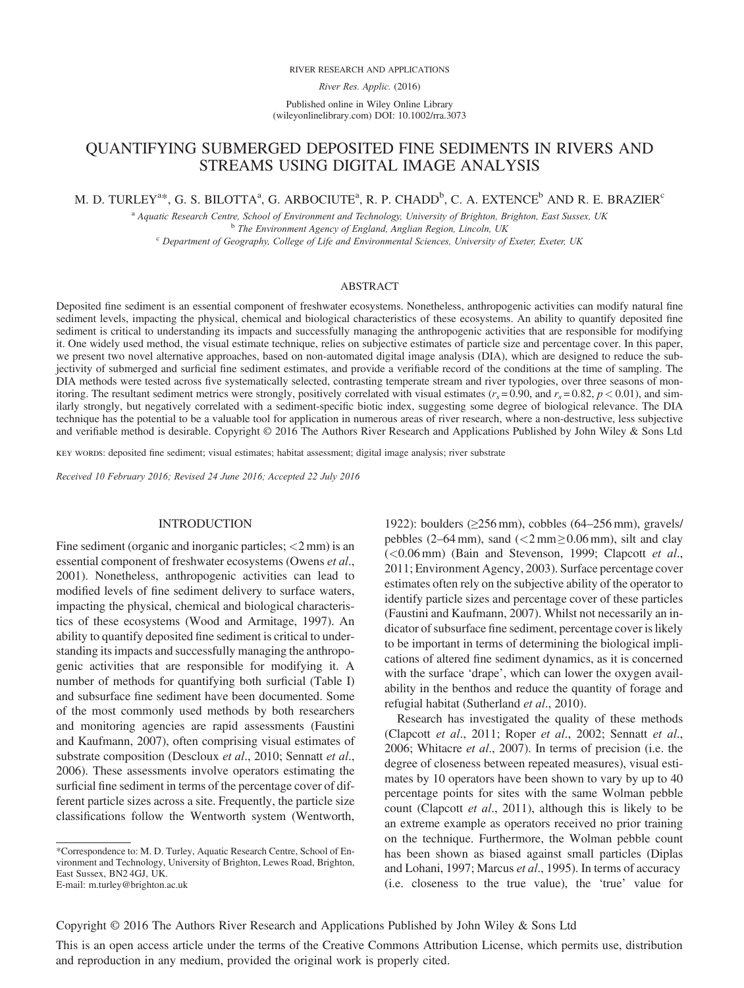#### RIVER RESEARCH AND APPLICATIONS

River Res. Applic. (2016)

Published online in Wiley Online Library (wileyonlinelibrary.com) DOI: 10.1002/rra.3073

# QUANTIFYING SUBMERGED DEPOSITED FINE SEDIMENTS IN RIVERS AND STREAMS USING DIGITAL IMAGE ANALYSIS

M. D. TURLEY $^{a*}$ , G. S. BILOTTA $^{a}$ , G. ARBOCIUTE $^{a}$ , R. P. CHADD $^{b}$ , C. A. EXTENCE $^{b}$  AND R. E. BRAZIER $^{\circ}$ 

a Aquatic Research Centre, School of Environment and Technology, University of Brighton, Brighton, East Sussex, UK <sup>b</sup> The Environment Agency of England, Anglian Region, Lincoln, UK

 $c$  Department of Geography, College of Life and Environmental Sciences, University of Exeter, Exeter, UK

### ABSTRACT

Deposited fine sediment is an essential component of freshwater ecosystems. Nonetheless, anthropogenic activities can modify natural fine sediment levels, impacting the physical, chemical and biological characteristics of these ecosystems. An ability to quantify deposited fine sediment is critical to understanding its impacts and successfully managing the anthropogenic activities that are responsible for modifying it. One widely used method, the visual estimate technique, relies on subjective estimates of particle size and percentage cover. In this paper, we present two novel alternative approaches, based on non-automated digital image analysis (DIA), which are designed to reduce the subjectivity of submerged and surficial fine sediment estimates, and provide a verifiable record of the conditions at the time of sampling. The DIA methods were tested across five systematically selected, contrasting temperate stream and river typologies, over three seasons of monitoring. The resultant sediment metrics were strongly, positively correlated with visual estimates ( $r_s$  = 0.90, and  $r_s$  = 0.82,  $p$  < 0.01), and similarly strongly, but negatively correlated with a sediment-specific biotic index, suggesting some degree of biological relevance. The DIA technique has the potential to be a valuable tool for application in numerous areas of river research, where a non-destructive, less subjective and verifiable method is desirable. Copyright © 2016 The Authors River Research and Applications Published by John Wiley & Sons Ltd

key words: deposited fine sediment; visual estimates; habitat assessment; digital image analysis; river substrate

Received 10 February 2016; Revised 24 June 2016; Accepted 22 July 2016

### INTRODUCTION

Fine sediment (organic and inorganic particles;  $\langle 2 \text{ mm} \rangle$  is an essential component of freshwater ecosystems (Owens *et al.*, 2001). Nonetheless, anthropogenic activities can lead to modified levels of fine sediment delivery to surface waters, impacting the physical, chemical and biological characteristics of these ecosystems (Wood and Armitage, 1997). An ability to quantify deposited fine sediment is critical to understanding its impacts and successfully managing the anthropogenic activities that are responsible for modifying it. A number of methods for quantifying both surficial (Table I) and subsurface fine sediment have been documented. Some of the most commonly used methods by both researchers and monitoring agencies are rapid assessments (Faustini and Kaufmann, 2007), often comprising visual estimates of substrate composition (Descloux et al., 2010; Sennatt et al., 2006). These assessments involve operators estimating the surficial fine sediment in terms of the percentage cover of different particle sizes across a site. Frequently, the particle size classifications follow the Wentworth system (Wentworth, 1922): boulders (≥256 mm), cobbles (64–256 mm), gravels/ pebbles (2–64 mm), sand ( $\langle 2 \text{ mm} \geq 0.06 \text{ mm}$ ), silt and clay (<0.06 mm) (Bain and Stevenson, 1999; Clapcott et al., 2011; Environment Agency, 2003). Surface percentage cover estimates often rely on the subjective ability of the operator to identify particle sizes and percentage cover of these particles (Faustini and Kaufmann, 2007). Whilst not necessarily an indicator of subsurface fine sediment, percentage cover is likely to be important in terms of determining the biological implications of altered fine sediment dynamics, as it is concerned with the surface 'drape', which can lower the oxygen availability in the benthos and reduce the quantity of forage and refugial habitat (Sutherland et al., 2010).

Research has investigated the quality of these methods (Clapcott et al., 2011; Roper et al., 2002; Sennatt et al., 2006; Whitacre et al., 2007). In terms of precision (i.e. the degree of closeness between repeated measures), visual estimates by 10 operators have been shown to vary by up to 40 percentage points for sites with the same Wolman pebble count (Clapcott et al., 2011), although this is likely to be an extreme example as operators received no prior training on the technique. Furthermore, the Wolman pebble count has been shown as biased against small particles (Diplas and Lohani, 1997; Marcus et al., 1995). In terms of accuracy (i.e. closeness to the true value), the 'true' value for

Copyright © 2016 The Authors River Research and Applications Published by John Wiley & Sons Ltd

This is an open access article under the terms of the [Creative Commons Attribution](http://creativecommons.org/licenses/by/4.0/) License, which permits use, distribution and reproduction in any medium, provided the original work is properly cited.

<sup>\*</sup>Correspondence to: M. D. Turley, Aquatic Research Centre, School of Environment and Technology, University of Brighton, Lewes Road, Brighton, East Sussex, BN2 4GJ, UK. E-mail: m.turley@brighton.ac.uk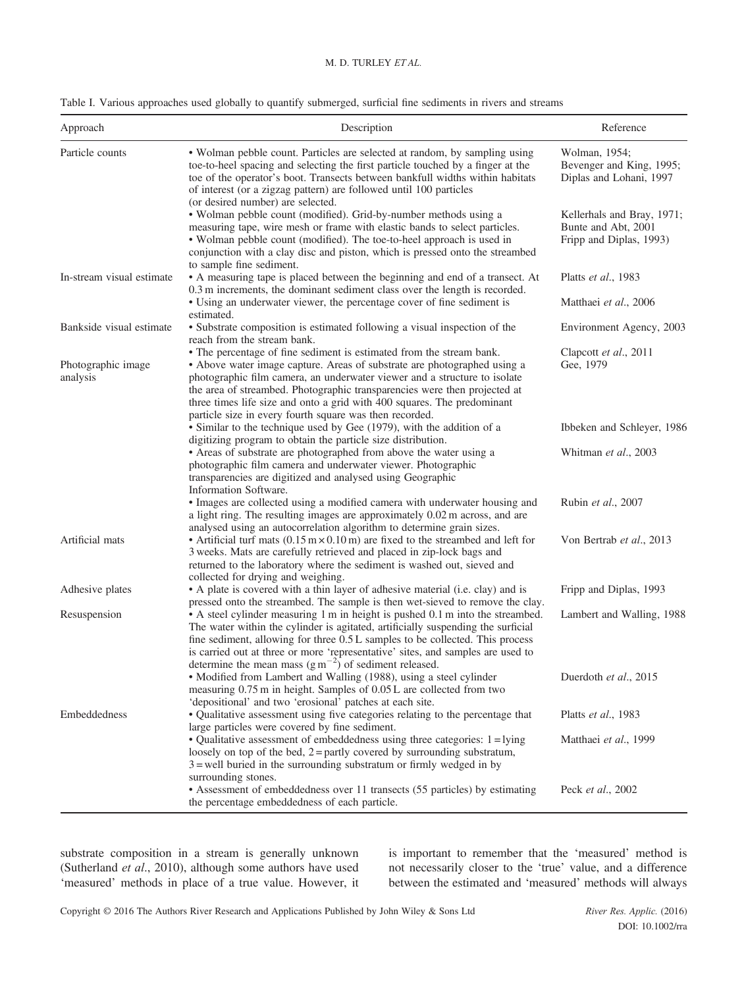### M. D. TURLEY ET AL.

| Approach                       | Description                                                                                                                                                                                                                                                                                                                                                                                                                                      | Reference                                                                    |
|--------------------------------|--------------------------------------------------------------------------------------------------------------------------------------------------------------------------------------------------------------------------------------------------------------------------------------------------------------------------------------------------------------------------------------------------------------------------------------------------|------------------------------------------------------------------------------|
| Particle counts                | • Wolman pebble count. Particles are selected at random, by sampling using<br>toe-to-heel spacing and selecting the first particle touched by a finger at the<br>toe of the operator's boot. Transects between bankfull widths within habitats<br>of interest (or a zigzag pattern) are followed until 100 particles<br>(or desired number) are selected.                                                                                        | Wolman, 1954;<br>Bevenger and King, 1995;<br>Diplas and Lohani, 1997         |
|                                | • Wolman pebble count (modified). Grid-by-number methods using a<br>measuring tape, wire mesh or frame with elastic bands to select particles.<br>• Wolman pebble count (modified). The toe-to-heel approach is used in<br>conjunction with a clay disc and piston, which is pressed onto the streambed<br>to sample fine sediment.                                                                                                              | Kellerhals and Bray, 1971;<br>Bunte and Abt, 2001<br>Fripp and Diplas, 1993) |
| In-stream visual estimate      | • A measuring tape is placed between the beginning and end of a transect. At<br>0.3 m increments, the dominant sediment class over the length is recorded.<br>• Using an underwater viewer, the percentage cover of fine sediment is                                                                                                                                                                                                             | Platts et al., 1983<br>Matthaei et al., 2006                                 |
| Bankside visual estimate       | estimated.<br>• Substrate composition is estimated following a visual inspection of the<br>reach from the stream bank.                                                                                                                                                                                                                                                                                                                           | Environment Agency, 2003                                                     |
| Photographic image<br>analysis | • The percentage of fine sediment is estimated from the stream bank.<br>• Above water image capture. Areas of substrate are photographed using a<br>photographic film camera, an underwater viewer and a structure to isolate<br>the area of streambed. Photographic transparencies were then projected at<br>three times life size and onto a grid with 400 squares. The predominant<br>particle size in every fourth square was then recorded. | Clapcott et al., 2011<br>Gee, 1979                                           |
|                                | • Similar to the technique used by Gee (1979), with the addition of a                                                                                                                                                                                                                                                                                                                                                                            | Ibbeken and Schleyer, 1986                                                   |
|                                | digitizing program to obtain the particle size distribution.<br>• Areas of substrate are photographed from above the water using a<br>photographic film camera and underwater viewer. Photographic<br>transparencies are digitized and analysed using Geographic                                                                                                                                                                                 | Whitman et al., 2003                                                         |
|                                | Information Software.<br>• Images are collected using a modified camera with underwater housing and<br>a light ring. The resulting images are approximately 0.02 m across, and are                                                                                                                                                                                                                                                               | Rubin et al., 2007                                                           |
| Artificial mats                | analysed using an autocorrelation algorithm to determine grain sizes.<br>• Artificial turf mats $(0.15 \text{ m} \times 0.10 \text{ m})$ are fixed to the streambed and left for<br>3 weeks. Mats are carefully retrieved and placed in zip-lock bags and<br>returned to the laboratory where the sediment is washed out, sieved and<br>collected for drying and weighing.                                                                       | Von Bertrab et al., 2013                                                     |
| Adhesive plates                | • A plate is covered with a thin layer of adhesive material (i.e. clay) and is<br>pressed onto the streambed. The sample is then wet-sieved to remove the clay.                                                                                                                                                                                                                                                                                  | Fripp and Diplas, 1993                                                       |
| Resuspension                   | • A steel cylinder measuring 1 m in height is pushed 0.1 m into the streambed.<br>The water within the cylinder is agitated, artificially suspending the surficial<br>fine sediment, allowing for three 0.5 L samples to be collected. This process<br>is carried out at three or more 'representative' sites, and samples are used to<br>determine the mean mass $(g m^{-2})$ of sediment released.                                             | Lambert and Walling, 1988                                                    |
|                                | • Modified from Lambert and Walling (1988), using a steel cylinder<br>measuring 0.75 m in height. Samples of 0.05 L are collected from two<br>'depositional' and two 'erosional' patches at each site.                                                                                                                                                                                                                                           | Duerdoth et al., 2015                                                        |
| Embeddedness                   | • Qualitative assessment using five categories relating to the percentage that<br>large particles were covered by fine sediment.                                                                                                                                                                                                                                                                                                                 | Platts et al., 1983                                                          |
|                                | • Qualitative assessment of embeddedness using three categories: $1 =$ lying<br>loosely on top of the bed, $2 =$ partly covered by surrounding substratum,<br>$3$ = well buried in the surrounding substratum or firmly wedged in by                                                                                                                                                                                                             | Matthaei et al., 1999                                                        |
|                                | surrounding stones.<br>• Assessment of embeddedness over 11 transects (55 particles) by estimating<br>the percentage embeddedness of each particle.                                                                                                                                                                                                                                                                                              | Peck et al., 2002                                                            |

substrate composition in a stream is generally unknown (Sutherland et al., 2010), although some authors have used 'measured' methods in place of a true value. However, it

is important to remember that the 'measured' method is not necessarily closer to the 'true' value, and a difference between the estimated and 'measured' methods will always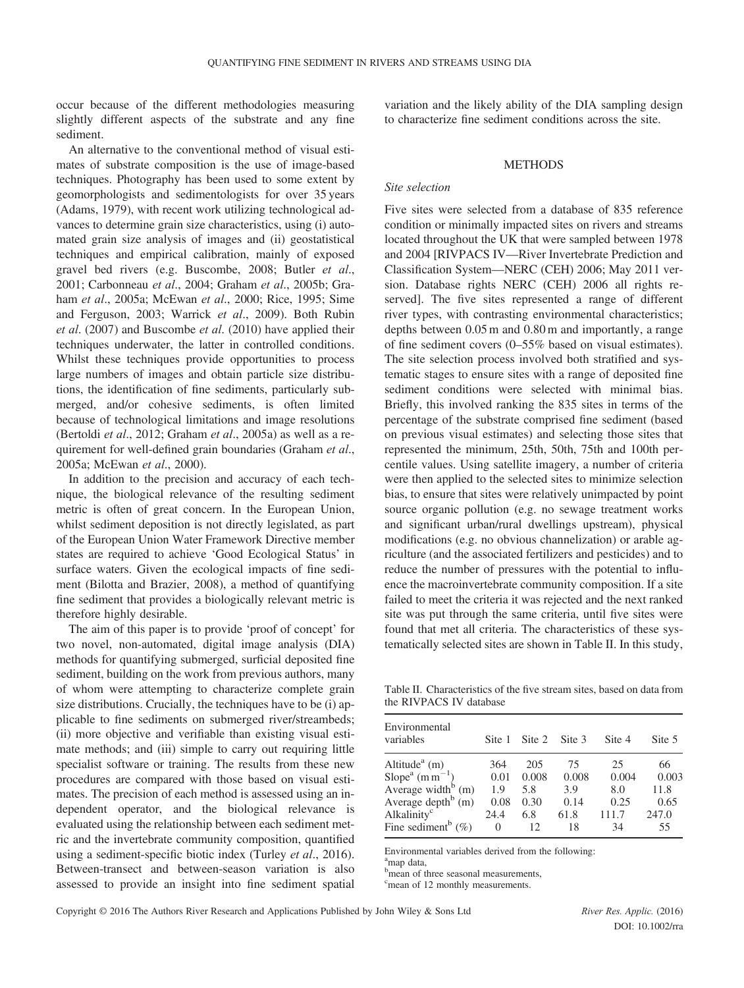occur because of the different methodologies measuring slightly different aspects of the substrate and any fine sediment.

An alternative to the conventional method of visual estimates of substrate composition is the use of image-based techniques. Photography has been used to some extent by geomorphologists and sedimentologists for over 35 years (Adams, 1979), with recent work utilizing technological advances to determine grain size characteristics, using (i) automated grain size analysis of images and (ii) geostatistical techniques and empirical calibration, mainly of exposed gravel bed rivers (e.g. Buscombe, 2008; Butler et al., 2001; Carbonneau et al., 2004; Graham et al., 2005b; Graham et al., 2005a; McEwan et al., 2000; Rice, 1995; Sime and Ferguson, 2003; Warrick et al., 2009). Both Rubin et al. (2007) and Buscombe et al. (2010) have applied their techniques underwater, the latter in controlled conditions. Whilst these techniques provide opportunities to process large numbers of images and obtain particle size distributions, the identification of fine sediments, particularly submerged, and/or cohesive sediments, is often limited because of technological limitations and image resolutions (Bertoldi et al., 2012; Graham et al., 2005a) as well as a requirement for well-defined grain boundaries (Graham et al., 2005a; McEwan et al., 2000).

In addition to the precision and accuracy of each technique, the biological relevance of the resulting sediment metric is often of great concern. In the European Union, whilst sediment deposition is not directly legislated, as part of the European Union Water Framework Directive member states are required to achieve 'Good Ecological Status' in surface waters. Given the ecological impacts of fine sediment (Bilotta and Brazier, 2008), a method of quantifying fine sediment that provides a biologically relevant metric is therefore highly desirable.

The aim of this paper is to provide 'proof of concept' for two novel, non-automated, digital image analysis (DIA) methods for quantifying submerged, surficial deposited fine sediment, building on the work from previous authors, many of whom were attempting to characterize complete grain size distributions. Crucially, the techniques have to be (i) applicable to fine sediments on submerged river/streambeds; (ii) more objective and verifiable than existing visual estimate methods; and (iii) simple to carry out requiring little specialist software or training. The results from these new procedures are compared with those based on visual estimates. The precision of each method is assessed using an independent operator, and the biological relevance is evaluated using the relationship between each sediment metric and the invertebrate community composition, quantified using a sediment-specific biotic index (Turley *et al.*, 2016). Between-transect and between-season variation is also assessed to provide an insight into fine sediment spatial variation and the likely ability of the DIA sampling design to characterize fine sediment conditions across the site.

### **METHODS**

#### Site selection

Five sites were selected from a database of 835 reference condition or minimally impacted sites on rivers and streams located throughout the UK that were sampled between 1978 and 2004 [RIVPACS IV—River Invertebrate Prediction and Classification System—NERC (CEH) 2006; May 2011 version. Database rights NERC (CEH) 2006 all rights reserved]. The five sites represented a range of different river types, with contrasting environmental characteristics; depths between 0.05 m and 0.80 m and importantly, a range of fine sediment covers (0–55% based on visual estimates). The site selection process involved both stratified and systematic stages to ensure sites with a range of deposited fine sediment conditions were selected with minimal bias. Briefly, this involved ranking the 835 sites in terms of the percentage of the substrate comprised fine sediment (based on previous visual estimates) and selecting those sites that represented the minimum, 25th, 50th, 75th and 100th percentile values. Using satellite imagery, a number of criteria were then applied to the selected sites to minimize selection bias, to ensure that sites were relatively unimpacted by point source organic pollution (e.g. no sewage treatment works and significant urban/rural dwellings upstream), physical modifications (e.g. no obvious channelization) or arable agriculture (and the associated fertilizers and pesticides) and to reduce the number of pressures with the potential to influence the macroinvertebrate community composition. If a site failed to meet the criteria it was rejected and the next ranked site was put through the same criteria, until five sites were found that met all criteria. The characteristics of these systematically selected sites are shown in Table II. In this study,

Table II. Characteristics of the five stream sites, based on data from the RIVPACS IV database

| Environmental<br>variables             | Site 1 | Site 2 | Site 3 | Site 4 | Site 5 |
|----------------------------------------|--------|--------|--------|--------|--------|
| Altitude <sup><math>a</math></sup> (m) | 364    | 205    | 75     | 25     | 66     |
| $Slopea$ (m m <sup>-1</sup> )          | 0.01   | 0.008  | 0.008  | 0.004  | 0.003  |
| Average width $^{b}$ (m)               | 1.9    | 5.8    | 3.9    | 8.0    | 11.8   |
| Average depth $^{b}$ (m)               | 0.08   | 0.30   | 0.14   | 0.25   | 0.65   |
| Alkalinity <sup>c</sup>                | 24.4   | 6.8    | 61.8   | 111.7  | 247.0  |
| Fine sediment <sup>b</sup> $(\%)$      | 0      | 12     | 18     | 34     | 55     |

Environmental variables derived from the following:

a map data,

b<sub>mean</sub> of three seasonal measurements,

<sup>c</sup>mean of 12 monthly measurements.

DOI: 10.1002/rra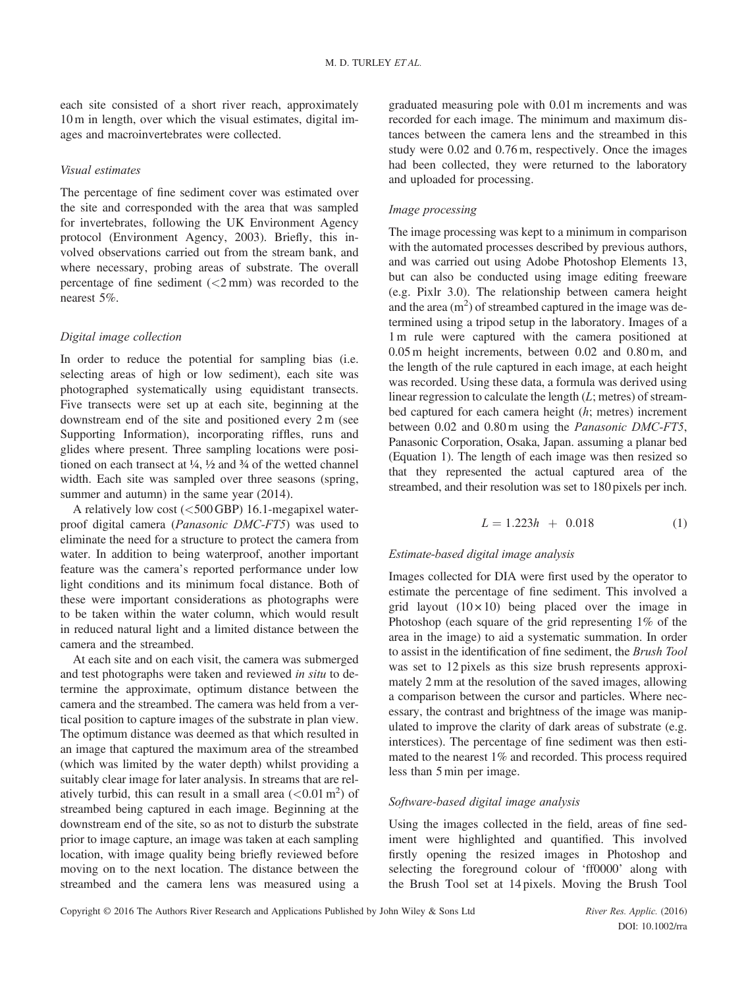each site consisted of a short river reach, approximately 10 m in length, over which the visual estimates, digital images and macroinvertebrates were collected.

### Visual estimates

The percentage of fine sediment cover was estimated over the site and corresponded with the area that was sampled for invertebrates, following the UK Environment Agency protocol (Environment Agency, 2003). Briefly, this involved observations carried out from the stream bank, and where necessary, probing areas of substrate. The overall percentage of fine sediment  $(<2$  mm) was recorded to the nearest 5%.

## Digital image collection

In order to reduce the potential for sampling bias (i.e. selecting areas of high or low sediment), each site was photographed systematically using equidistant transects. Five transects were set up at each site, beginning at the downstream end of the site and positioned every 2 m (see Supporting Information), incorporating riffles, runs and glides where present. Three sampling locations were positioned on each transect at  $\frac{1}{4}$ ,  $\frac{1}{2}$  and  $\frac{3}{4}$  of the wetted channel width. Each site was sampled over three seasons (spring, summer and autumn) in the same year  $(2014)$ .

A relatively low cost (<500 GBP) 16.1-megapixel waterproof digital camera (Panasonic DMC-FT5) was used to eliminate the need for a structure to protect the camera from water. In addition to being waterproof, another important feature was the camera's reported performance under low light conditions and its minimum focal distance. Both of these were important considerations as photographs were to be taken within the water column, which would result in reduced natural light and a limited distance between the camera and the streambed.

At each site and on each visit, the camera was submerged and test photographs were taken and reviewed in situ to determine the approximate, optimum distance between the camera and the streambed. The camera was held from a vertical position to capture images of the substrate in plan view. The optimum distance was deemed as that which resulted in an image that captured the maximum area of the streambed (which was limited by the water depth) whilst providing a suitably clear image for later analysis. In streams that are relatively turbid, this can result in a small area  $(<0.01 \text{ m}^2)$  of streambed being captured in each image. Beginning at the downstream end of the site, so as not to disturb the substrate prior to image capture, an image was taken at each sampling location, with image quality being briefly reviewed before moving on to the next location. The distance between the streambed and the camera lens was measured using a

graduated measuring pole with 0.01 m increments and was recorded for each image. The minimum and maximum distances between the camera lens and the streambed in this study were 0.02 and 0.76 m, respectively. Once the images had been collected, they were returned to the laboratory and uploaded for processing.

## Image processing

The image processing was kept to a minimum in comparison with the automated processes described by previous authors, and was carried out using Adobe Photoshop Elements 13, but can also be conducted using image editing freeware (e.g. Pixlr 3.0). The relationship between camera height and the area  $(m<sup>2</sup>)$  of streambed captured in the image was determined using a tripod setup in the laboratory. Images of a 1 m rule were captured with the camera positioned at 0.05 m height increments, between 0.02 and 0.80 m, and the length of the rule captured in each image, at each height was recorded. Using these data, a formula was derived using linear regression to calculate the length  $(L;$  metres) of streambed captured for each camera height (h; metres) increment between 0.02 and 0.80 m using the Panasonic DMC-FT5, Panasonic Corporation, Osaka, Japan. assuming a planar bed (Equation 1). The length of each image was then resized so that they represented the actual captured area of the streambed, and their resolution was set to 180 pixels per inch.

$$
L = 1.223h + 0.018\tag{1}
$$

### Estimate-based digital image analysis

Images collected for DIA were first used by the operator to estimate the percentage of fine sediment. This involved a grid layout  $(10 \times 10)$  being placed over the image in Photoshop (each square of the grid representing 1% of the area in the image) to aid a systematic summation. In order to assist in the identification of fine sediment, the Brush Tool was set to 12 pixels as this size brush represents approximately 2 mm at the resolution of the saved images, allowing a comparison between the cursor and particles. Where necessary, the contrast and brightness of the image was manipulated to improve the clarity of dark areas of substrate (e.g. interstices). The percentage of fine sediment was then estimated to the nearest 1% and recorded. This process required less than 5 min per image.

### Software-based digital image analysis

Using the images collected in the field, areas of fine sediment were highlighted and quantified. This involved firstly opening the resized images in Photoshop and selecting the foreground colour of 'ff0000' along with the Brush Tool set at 14 pixels. Moving the Brush Tool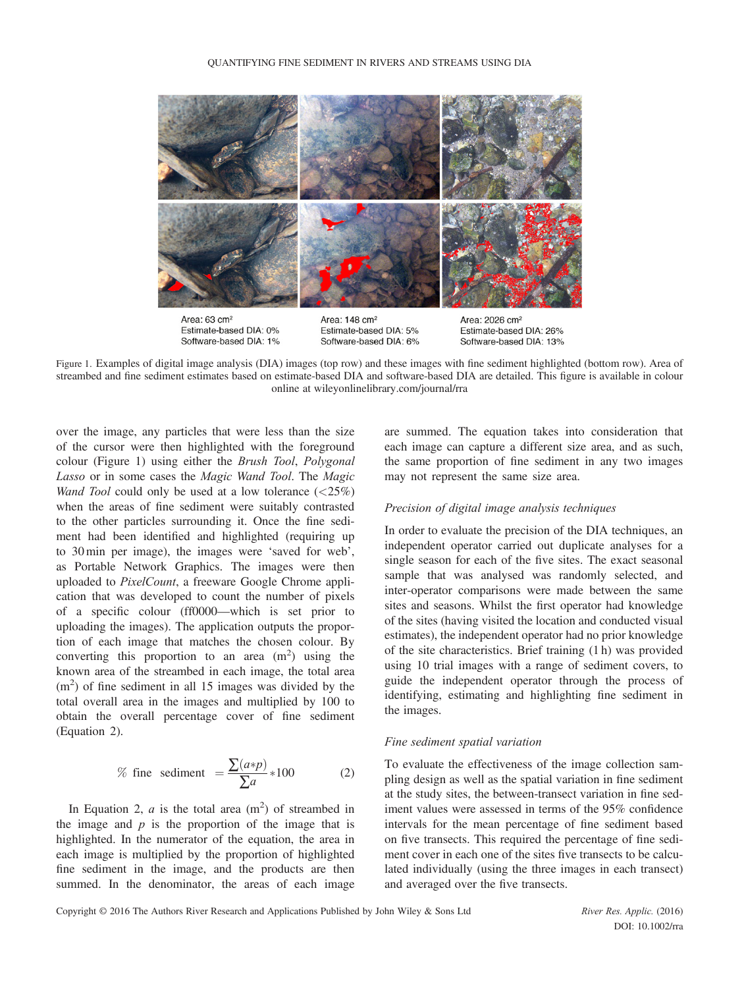

Figure 1. Examples of digital image analysis (DIA) images (top row) and these images with fine sediment highlighted (bottom row). Area of streambed and fine sediment estimates based on estimate-based DIA and software-based DIA are detailed. This figure is available in colour online at wileyonlinelibrary.com/journal/rra

over the image, any particles that were less than the size of the cursor were then highlighted with the foreground colour (Figure 1) using either the Brush Tool, Polygonal Lasso or in some cases the Magic Wand Tool. The Magic Wand Tool could only be used at a low tolerance  $\langle \langle 25\% \rangle$ when the areas of fine sediment were suitably contrasted to the other particles surrounding it. Once the fine sediment had been identified and highlighted (requiring up to 30 min per image), the images were 'saved for web', as Portable Network Graphics. The images were then uploaded to PixelCount, a freeware Google Chrome application that was developed to count the number of pixels of a specific colour (ff0000—which is set prior to uploading the images). The application outputs the proportion of each image that matches the chosen colour. By converting this proportion to an area  $(m^2)$  using the known area of the streambed in each image, the total area  $(m<sup>2</sup>)$  of fine sediment in all 15 images was divided by the total overall area in the images and multiplied by 100 to obtain the overall percentage cover of fine sediment (Equation 2).

% fine sediment 
$$
=\frac{\sum (a*p)}{\sum a}*100
$$
 (2)

In Equation 2,  $a$  is the total area  $(m^2)$  of streambed in the image and  $p$  is the proportion of the image that is highlighted. In the numerator of the equation, the area in each image is multiplied by the proportion of highlighted fine sediment in the image, and the products are then summed. In the denominator, the areas of each image are summed. The equation takes into consideration that each image can capture a different size area, and as such, the same proportion of fine sediment in any two images may not represent the same size area.

### Precision of digital image analysis techniques

In order to evaluate the precision of the DIA techniques, an independent operator carried out duplicate analyses for a single season for each of the five sites. The exact seasonal sample that was analysed was randomly selected, and inter-operator comparisons were made between the same sites and seasons. Whilst the first operator had knowledge of the sites (having visited the location and conducted visual estimates), the independent operator had no prior knowledge of the site characteristics. Brief training (1 h) was provided using 10 trial images with a range of sediment covers, to guide the independent operator through the process of identifying, estimating and highlighting fine sediment in the images.

### Fine sediment spatial variation

To evaluate the effectiveness of the image collection sampling design as well as the spatial variation in fine sediment at the study sites, the between-transect variation in fine sediment values were assessed in terms of the 95% confidence intervals for the mean percentage of fine sediment based on five transects. This required the percentage of fine sediment cover in each one of the sites five transects to be calculated individually (using the three images in each transect) and averaged over the five transects.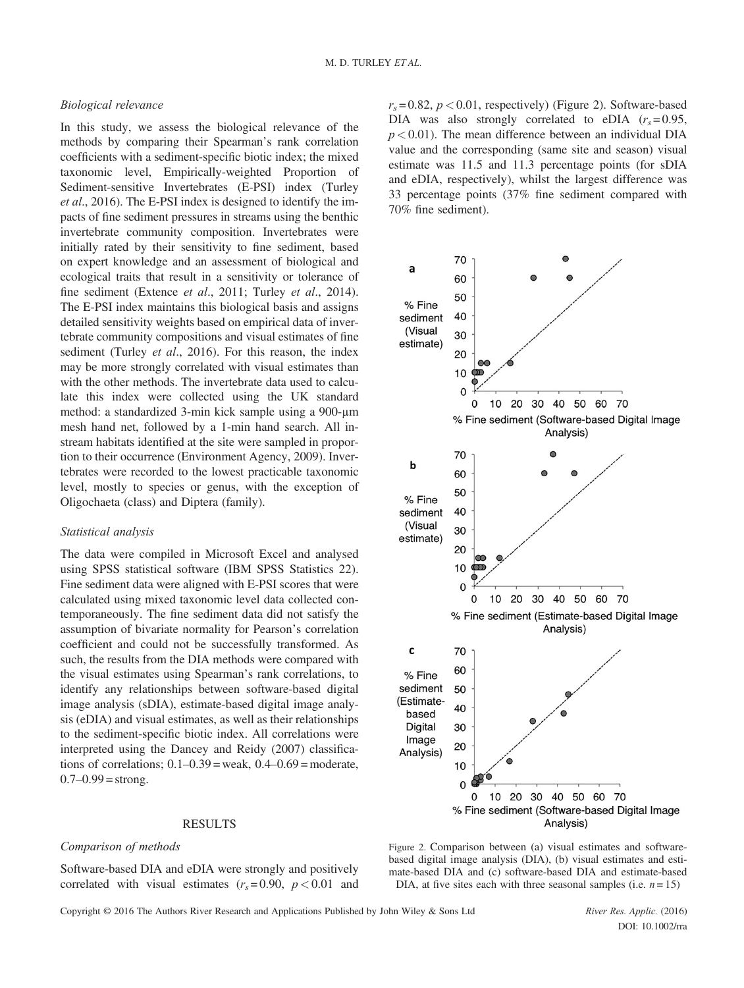### Biological relevance

In this study, we assess the biological relevance of the methods by comparing their Spearman's rank correlation coefficients with a sediment-specific biotic index; the mixed taxonomic level, Empirically-weighted Proportion of Sediment-sensitive Invertebrates (E-PSI) index (Turley et al., 2016). The E-PSI index is designed to identify the impacts of fine sediment pressures in streams using the benthic invertebrate community composition. Invertebrates were initially rated by their sensitivity to fine sediment, based on expert knowledge and an assessment of biological and ecological traits that result in a sensitivity or tolerance of fine sediment (Extence et al., 2011; Turley et al., 2014). The E-PSI index maintains this biological basis and assigns detailed sensitivity weights based on empirical data of invertebrate community compositions and visual estimates of fine sediment (Turley *et al.*, 2016). For this reason, the index may be more strongly correlated with visual estimates than with the other methods. The invertebrate data used to calculate this index were collected using the UK standard method: a standardized 3-min kick sample using a 900-μm mesh hand net, followed by a 1-min hand search. All instream habitats identified at the site were sampled in proportion to their occurrence (Environment Agency, 2009). Invertebrates were recorded to the lowest practicable taxonomic level, mostly to species or genus, with the exception of Oligochaeta (class) and Diptera (family).

### Statistical analysis

The data were compiled in Microsoft Excel and analysed using SPSS statistical software (IBM SPSS Statistics 22). Fine sediment data were aligned with E-PSI scores that were calculated using mixed taxonomic level data collected contemporaneously. The fine sediment data did not satisfy the assumption of bivariate normality for Pearson's correlation coefficient and could not be successfully transformed. As such, the results from the DIA methods were compared with the visual estimates using Spearman's rank correlations, to identify any relationships between software-based digital image analysis (sDIA), estimate-based digital image analysis (eDIA) and visual estimates, as well as their relationships to the sediment-specific biotic index. All correlations were interpreted using the Dancey and Reidy (2007) classifications of correlations;  $0.1 - 0.39$  = weak,  $0.4 - 0.69$  = moderate,  $0.7-0.99$  = strong.

## RESULTS

### Comparison of methods

Software-based DIA and eDIA were strongly and positively correlated with visual estimates  $(r<sub>s</sub>=0.90, p<0.01$  and

 $r_s = 0.82$ ,  $p < 0.01$ , respectively) (Figure 2). Software-based DIA was also strongly correlated to eDIA  $(r<sub>s</sub>=0.95,$  $p < 0.01$ ). The mean difference between an individual DIA value and the corresponding (same site and season) visual estimate was 11.5 and 11.3 percentage points (for sDIA and eDIA, respectively), whilst the largest difference was 33 percentage points (37% fine sediment compared with 70% fine sediment).



Figure 2. Comparison between (a) visual estimates and softwarebased digital image analysis (DIA), (b) visual estimates and estimate-based DIA and (c) software-based DIA and estimate-based DIA, at five sites each with three seasonal samples (i.e.  $n = 15$ )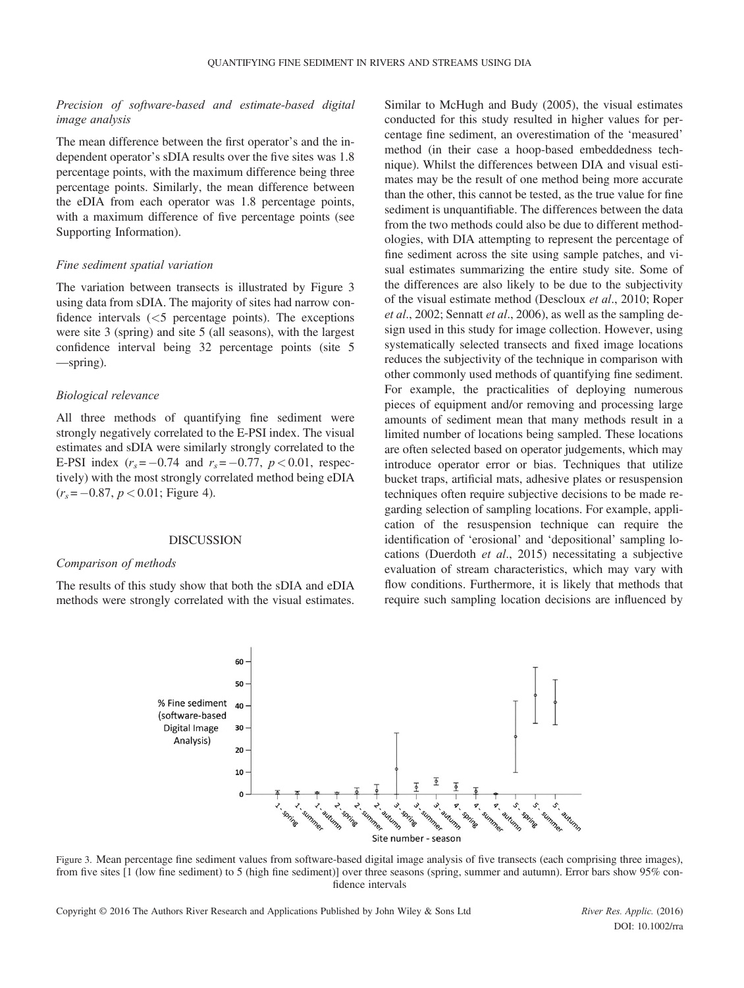## Precision of software-based and estimate-based digital image analysis

The mean difference between the first operator's and the independent operator's sDIA results over the five sites was 1.8 percentage points, with the maximum difference being three percentage points. Similarly, the mean difference between the eDIA from each operator was 1.8 percentage points, with a maximum difference of five percentage points (see Supporting Information).

### Fine sediment spatial variation

The variation between transects is illustrated by Figure 3 using data from sDIA. The majority of sites had narrow confidence intervals  $\langle$  <5 percentage points). The exceptions were site 3 (spring) and site 5 (all seasons), with the largest confidence interval being 32 percentage points (site 5 —spring).

### Biological relevance

All three methods of quantifying fine sediment were strongly negatively correlated to the E-PSI index. The visual estimates and sDIA were similarly strongly correlated to the E-PSI index  $(r_s = -0.74$  and  $r_s = -0.77$ ,  $p < 0.01$ , respectively) with the most strongly correlated method being eDIA  $(r_s = -0.87, p < 0.01$ ; Figure 4).

### DISCUSSION

### Comparison of methods

The results of this study show that both the sDIA and eDIA methods were strongly correlated with the visual estimates. Similar to McHugh and Budy (2005), the visual estimates conducted for this study resulted in higher values for percentage fine sediment, an overestimation of the 'measured' method (in their case a hoop-based embeddedness technique). Whilst the differences between DIA and visual estimates may be the result of one method being more accurate than the other, this cannot be tested, as the true value for fine sediment is unquantifiable. The differences between the data from the two methods could also be due to different methodologies, with DIA attempting to represent the percentage of fine sediment across the site using sample patches, and visual estimates summarizing the entire study site. Some of the differences are also likely to be due to the subjectivity of the visual estimate method (Descloux et al., 2010; Roper et al., 2002; Sennatt et al., 2006), as well as the sampling design used in this study for image collection. However, using systematically selected transects and fixed image locations reduces the subjectivity of the technique in comparison with other commonly used methods of quantifying fine sediment. For example, the practicalities of deploying numerous pieces of equipment and/or removing and processing large amounts of sediment mean that many methods result in a limited number of locations being sampled. These locations are often selected based on operator judgements, which may introduce operator error or bias. Techniques that utilize bucket traps, artificial mats, adhesive plates or resuspension techniques often require subjective decisions to be made regarding selection of sampling locations. For example, application of the resuspension technique can require the identification of 'erosional' and 'depositional' sampling locations (Duerdoth et al., 2015) necessitating a subjective evaluation of stream characteristics, which may vary with flow conditions. Furthermore, it is likely that methods that require such sampling location decisions are influenced by



Figure 3. Mean percentage fine sediment values from software-based digital image analysis of five transects (each comprising three images), from five sites [1 (low fine sediment) to 5 (high fine sediment)] over three seasons (spring, summer and autumn). Error bars show 95% confidence intervals

Copyright © 2016 The Authors River Research and Applications Published by John Wiley & Sons Ltd River Res. Applic. (2016)

DOI: 10.1002/rra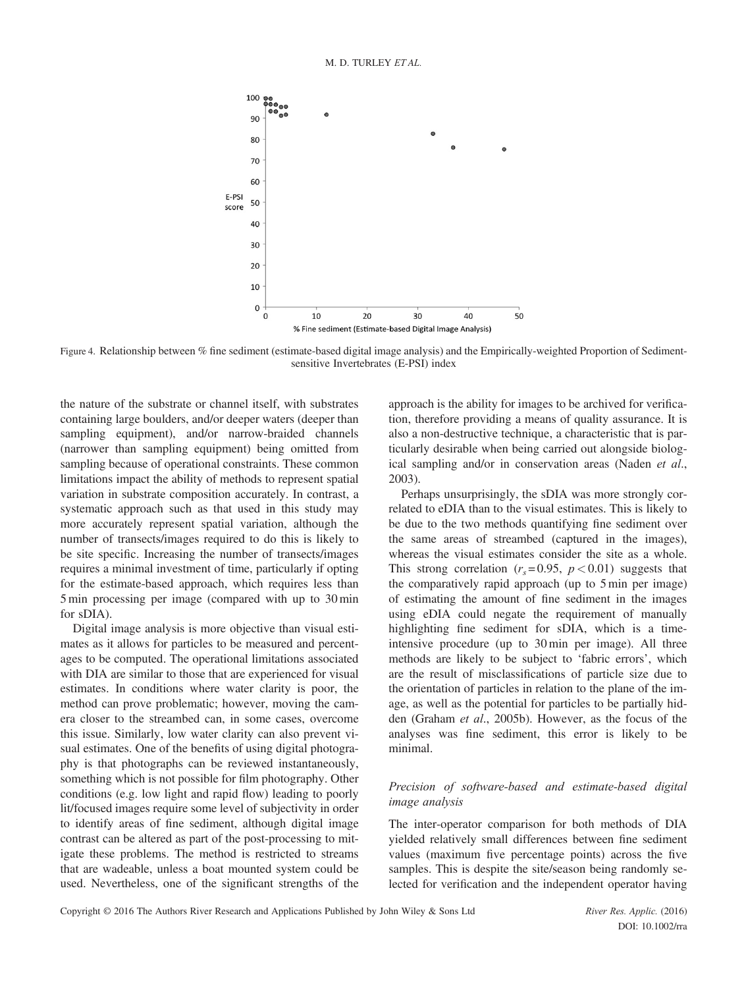

Figure 4. Relationship between % fine sediment (estimate-based digital image analysis) and the Empirically-weighted Proportion of Sedimentsensitive Invertebrates (E-PSI) index

the nature of the substrate or channel itself, with substrates containing large boulders, and/or deeper waters (deeper than sampling equipment), and/or narrow-braided channels (narrower than sampling equipment) being omitted from sampling because of operational constraints. These common limitations impact the ability of methods to represent spatial variation in substrate composition accurately. In contrast, a systematic approach such as that used in this study may more accurately represent spatial variation, although the number of transects/images required to do this is likely to be site specific. Increasing the number of transects/images requires a minimal investment of time, particularly if opting for the estimate-based approach, which requires less than 5 min processing per image (compared with up to 30 min for sDIA).

Digital image analysis is more objective than visual estimates as it allows for particles to be measured and percentages to be computed. The operational limitations associated with DIA are similar to those that are experienced for visual estimates. In conditions where water clarity is poor, the method can prove problematic; however, moving the camera closer to the streambed can, in some cases, overcome this issue. Similarly, low water clarity can also prevent visual estimates. One of the benefits of using digital photography is that photographs can be reviewed instantaneously, something which is not possible for film photography. Other conditions (e.g. low light and rapid flow) leading to poorly lit/focused images require some level of subjectivity in order to identify areas of fine sediment, although digital image contrast can be altered as part of the post-processing to mitigate these problems. The method is restricted to streams that are wadeable, unless a boat mounted system could be used. Nevertheless, one of the significant strengths of the approach is the ability for images to be archived for verification, therefore providing a means of quality assurance. It is also a non-destructive technique, a characteristic that is particularly desirable when being carried out alongside biological sampling and/or in conservation areas (Naden et al., 2003).

Perhaps unsurprisingly, the sDIA was more strongly correlated to eDIA than to the visual estimates. This is likely to be due to the two methods quantifying fine sediment over the same areas of streambed (captured in the images), whereas the visual estimates consider the site as a whole. This strong correlation  $(r_s=0.95, p<0.01)$  suggests that the comparatively rapid approach (up to 5 min per image) of estimating the amount of fine sediment in the images using eDIA could negate the requirement of manually highlighting fine sediment for sDIA, which is a timeintensive procedure (up to 30 min per image). All three methods are likely to be subject to 'fabric errors', which are the result of misclassifications of particle size due to the orientation of particles in relation to the plane of the image, as well as the potential for particles to be partially hidden (Graham et al., 2005b). However, as the focus of the analyses was fine sediment, this error is likely to be minimal.

## Precision of software-based and estimate-based digital image analysis

The inter-operator comparison for both methods of DIA yielded relatively small differences between fine sediment values (maximum five percentage points) across the five samples. This is despite the site/season being randomly selected for verification and the independent operator having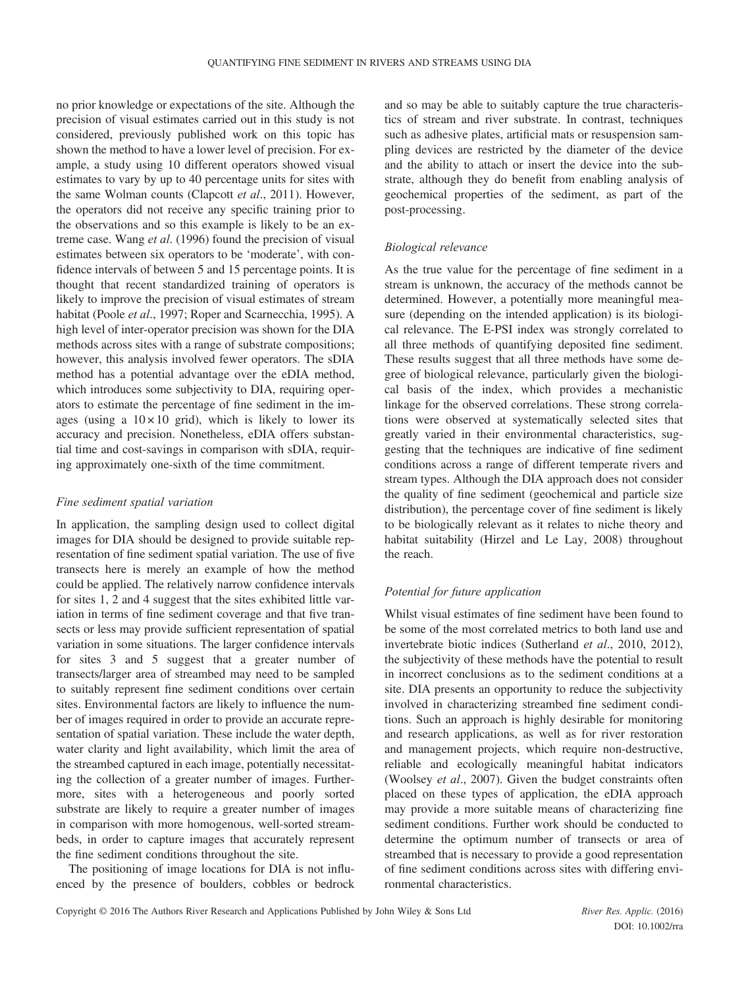no prior knowledge or expectations of the site. Although the precision of visual estimates carried out in this study is not considered, previously published work on this topic has shown the method to have a lower level of precision. For example, a study using 10 different operators showed visual estimates to vary by up to 40 percentage units for sites with the same Wolman counts (Clapcott et al., 2011). However, the operators did not receive any specific training prior to the observations and so this example is likely to be an extreme case. Wang et al. (1996) found the precision of visual estimates between six operators to be 'moderate', with confidence intervals of between 5 and 15 percentage points. It is thought that recent standardized training of operators is likely to improve the precision of visual estimates of stream habitat (Poole et al., 1997; Roper and Scarnecchia, 1995). A high level of inter-operator precision was shown for the DIA methods across sites with a range of substrate compositions; however, this analysis involved fewer operators. The sDIA method has a potential advantage over the eDIA method, which introduces some subjectivity to DIA, requiring operators to estimate the percentage of fine sediment in the images (using a  $10 \times 10$  grid), which is likely to lower its accuracy and precision. Nonetheless, eDIA offers substantial time and cost-savings in comparison with sDIA, requiring approximately one-sixth of the time commitment.

### Fine sediment spatial variation

In application, the sampling design used to collect digital images for DIA should be designed to provide suitable representation of fine sediment spatial variation. The use of five transects here is merely an example of how the method could be applied. The relatively narrow confidence intervals for sites 1, 2 and 4 suggest that the sites exhibited little variation in terms of fine sediment coverage and that five transects or less may provide sufficient representation of spatial variation in some situations. The larger confidence intervals for sites 3 and 5 suggest that a greater number of transects/larger area of streambed may need to be sampled to suitably represent fine sediment conditions over certain sites. Environmental factors are likely to influence the number of images required in order to provide an accurate representation of spatial variation. These include the water depth, water clarity and light availability, which limit the area of the streambed captured in each image, potentially necessitating the collection of a greater number of images. Furthermore, sites with a heterogeneous and poorly sorted substrate are likely to require a greater number of images in comparison with more homogenous, well-sorted streambeds, in order to capture images that accurately represent the fine sediment conditions throughout the site.

The positioning of image locations for DIA is not influenced by the presence of boulders, cobbles or bedrock and so may be able to suitably capture the true characteristics of stream and river substrate. In contrast, techniques such as adhesive plates, artificial mats or resuspension sampling devices are restricted by the diameter of the device and the ability to attach or insert the device into the substrate, although they do benefit from enabling analysis of geochemical properties of the sediment, as part of the post-processing.

## Biological relevance

As the true value for the percentage of fine sediment in a stream is unknown, the accuracy of the methods cannot be determined. However, a potentially more meaningful measure (depending on the intended application) is its biological relevance. The E-PSI index was strongly correlated to all three methods of quantifying deposited fine sediment. These results suggest that all three methods have some degree of biological relevance, particularly given the biological basis of the index, which provides a mechanistic linkage for the observed correlations. These strong correlations were observed at systematically selected sites that greatly varied in their environmental characteristics, suggesting that the techniques are indicative of fine sediment conditions across a range of different temperate rivers and stream types. Although the DIA approach does not consider the quality of fine sediment (geochemical and particle size distribution), the percentage cover of fine sediment is likely to be biologically relevant as it relates to niche theory and habitat suitability (Hirzel and Le Lay, 2008) throughout the reach.

## Potential for future application

Whilst visual estimates of fine sediment have been found to be some of the most correlated metrics to both land use and invertebrate biotic indices (Sutherland et al., 2010, 2012), the subjectivity of these methods have the potential to result in incorrect conclusions as to the sediment conditions at a site. DIA presents an opportunity to reduce the subjectivity involved in characterizing streambed fine sediment conditions. Such an approach is highly desirable for monitoring and research applications, as well as for river restoration and management projects, which require non-destructive, reliable and ecologically meaningful habitat indicators (Woolsey et al., 2007). Given the budget constraints often placed on these types of application, the eDIA approach may provide a more suitable means of characterizing fine sediment conditions. Further work should be conducted to determine the optimum number of transects or area of streambed that is necessary to provide a good representation of fine sediment conditions across sites with differing environmental characteristics.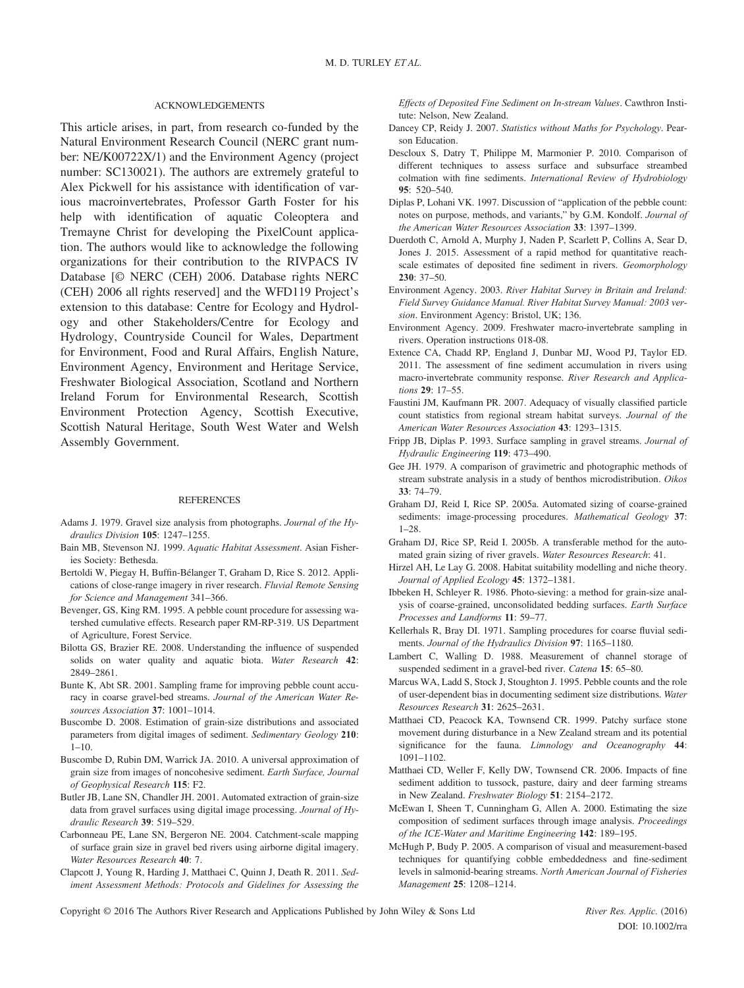#### ACKNOWLEDGEMENTS

This article arises, in part, from research co-funded by the Natural Environment Research Council (NERC grant number: NE/K00722X/1) and the Environment Agency (project number: SC130021). The authors are extremely grateful to Alex Pickwell for his assistance with identification of various macroinvertebrates, Professor Garth Foster for his help with identification of aquatic Coleoptera and Tremayne Christ for developing the PixelCount application. The authors would like to acknowledge the following organizations for their contribution to the RIVPACS IV Database [© NERC (CEH) 2006. Database rights NERC (CEH) 2006 all rights reserved] and the WFD119 Project's extension to this database: Centre for Ecology and Hydrology and other Stakeholders/Centre for Ecology and Hydrology, Countryside Council for Wales, Department for Environment, Food and Rural Affairs, English Nature, Environment Agency, Environment and Heritage Service, Freshwater Biological Association, Scotland and Northern Ireland Forum for Environmental Research, Scottish Environment Protection Agency, Scottish Executive, Scottish Natural Heritage, South West Water and Welsh Assembly Government.

#### **REFERENCES**

- Adams J. 1979. Gravel size analysis from photographs. Journal of the Hydraulics Division 105: 1247–1255.
- Bain MB, Stevenson NJ. 1999. Aquatic Habitat Assessment. Asian Fisheries Society: Bethesda.
- Bertoldi W, Piegay H, Buffin-Bélanger T, Graham D, Rice S. 2012. Applications of close-range imagery in river research. Fluvial Remote Sensing for Science and Management 341–366.
- Bevenger, GS, King RM. 1995. A pebble count procedure for assessing watershed cumulative effects. Research paper RM-RP-319. US Department of Agriculture, Forest Service.
- Bilotta GS, Brazier RE. 2008. Understanding the influence of suspended solids on water quality and aquatic biota. Water Research 42: 2849–2861.
- Bunte K, Abt SR. 2001. Sampling frame for improving pebble count accuracy in coarse gravel-bed streams. Journal of the American Water Resources Association 37: 1001–1014.
- Buscombe D. 2008. Estimation of grain-size distributions and associated parameters from digital images of sediment. Sedimentary Geology 210:  $1 - 10$ .
- Buscombe D, Rubin DM, Warrick JA. 2010. A universal approximation of grain size from images of noncohesive sediment. Earth Surface, Journal of Geophysical Research 115: F2.
- Butler JB, Lane SN, Chandler JH. 2001. Automated extraction of grain-size data from gravel surfaces using digital image processing. Journal of Hydraulic Research 39: 519–529.
- Carbonneau PE, Lane SN, Bergeron NE. 2004. Catchment-scale mapping of surface grain size in gravel bed rivers using airborne digital imagery. Water Resources Research 40: 7.
- Clapcott J, Young R, Harding J, Matthaei C, Quinn J, Death R. 2011. Sediment Assessment Methods: Protocols and Gidelines for Assessing the

Effects of Deposited Fine Sediment on In-stream Values. Cawthron Institute: Nelson, New Zealand.

- Dancey CP, Reidy J. 2007. Statistics without Maths for Psychology. Pearson Education.
- Descloux S, Datry T, Philippe M, Marmonier P. 2010. Comparison of different techniques to assess surface and subsurface streambed colmation with fine sediments. International Review of Hydrobiology 95: 520–540.
- Diplas P, Lohani VK. 1997. Discussion of "application of the pebble count: notes on purpose, methods, and variants," by G.M. Kondolf. Journal of the American Water Resources Association 33: 1397–1399.
- Duerdoth C, Arnold A, Murphy J, Naden P, Scarlett P, Collins A, Sear D, Jones J. 2015. Assessment of a rapid method for quantitative reachscale estimates of deposited fine sediment in rivers. Geomorphology 230: 37–50.
- Environment Agency. 2003. River Habitat Survey in Britain and Ireland: Field Survey Guidance Manual. River Habitat Survey Manual: 2003 version. Environment Agency: Bristol, UK; 136.
- Environment Agency. 2009. Freshwater macro-invertebrate sampling in rivers. Operation instructions 018-08.
- Extence CA, Chadd RP, England J, Dunbar MJ, Wood PJ, Taylor ED. 2011. The assessment of fine sediment accumulation in rivers using macro-invertebrate community response. River Research and Applications 29: 17–55.
- Faustini JM, Kaufmann PR. 2007. Adequacy of visually classified particle count statistics from regional stream habitat surveys. Journal of the American Water Resources Association 43: 1293–1315.
- Fripp JB, Diplas P. 1993. Surface sampling in gravel streams. Journal of Hydraulic Engineering 119: 473–490.
- Gee JH. 1979. A comparison of gravimetric and photographic methods of stream substrate analysis in a study of benthos microdistribution. Oikos 33: 74–79.
- Graham DJ, Reid I, Rice SP. 2005a. Automated sizing of coarse-grained sediments: image-processing procedures. Mathematical Geology 37: 1–28.
- Graham DJ, Rice SP, Reid I. 2005b. A transferable method for the automated grain sizing of river gravels. Water Resources Research: 41.
- Hirzel AH, Le Lay G. 2008. Habitat suitability modelling and niche theory. Journal of Applied Ecology 45: 1372–1381.
- Ibbeken H, Schleyer R. 1986. Photo-sieving: a method for grain-size analysis of coarse-grained, unconsolidated bedding surfaces. Earth Surface Processes and Landforms 11: 59–77.
- Kellerhals R, Bray DI. 1971. Sampling procedures for coarse fluvial sediments. Journal of the Hydraulics Division 97: 1165–1180.
- Lambert C, Walling D. 1988. Measurement of channel storage of suspended sediment in a gravel-bed river. Catena 15: 65–80.
- Marcus WA, Ladd S, Stock J, Stoughton J. 1995. Pebble counts and the role of user-dependent bias in documenting sediment size distributions. Water Resources Research 31: 2625–2631.
- Matthaei CD, Peacock KA, Townsend CR. 1999. Patchy surface stone movement during disturbance in a New Zealand stream and its potential significance for the fauna. Limnology and Oceanography 44: 1091–1102.
- Matthaei CD, Weller F, Kelly DW, Townsend CR. 2006. Impacts of fine sediment addition to tussock, pasture, dairy and deer farming streams in New Zealand. Freshwater Biology 51: 2154–2172.
- McEwan I, Sheen T, Cunningham G, Allen A. 2000. Estimating the size composition of sediment surfaces through image analysis. Proceedings of the ICE-Water and Maritime Engineering 142: 189–195.
- McHugh P, Budy P. 2005. A comparison of visual and measurement-based techniques for quantifying cobble embeddedness and fine-sediment levels in salmonid-bearing streams. North American Journal of Fisheries Management 25: 1208–1214.

Copyright © 2016 The Authors River Research and Applications Published by John Wiley & Sons Ltd River Res. Applic. (2016)